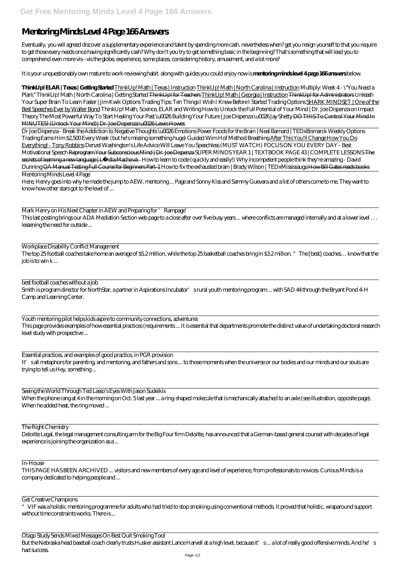## **Mentoring Minds Level 4 Page 166 Answers**

Eventually, you will agreed discover a supplementary experience and talent by spending more cash. nevertheless when? get you resign yourself to that you require to get those every needs once having significantly cash? Why don't you try to get something basic in the beginning? That's something that will lead you to comprehend even more vis--vis the globe, experience, some places, considering history, amusement, and a lot more?

It is your unquestionably own mature to work reviewing habit. along with guides you could enjoy now is **mentoring minds level 4 page 166 answers** below.

**ThinkUp! ELAR | Texas | Getting Started** ThinkUp! Math | Texas | Instruction ThinkUp! Math | North Carolina | Instruction *Multiply: Week 4 - \"You Need a Plan\" ThinkUp! Math | North Carolina | Getting Started* ThinkUp! for Teachers ThinkUp! Math | Georgia | Instruction ThinkUp! for Administrators *Unleash Your Super Brain To Learn Faster | Jim Kwik Options Trading Tips: Ten Things I Wish I Knew Before I Started Trading Options* SHARK MINDSET | One of the Best Speeches Ever by Walter Bond *ThinkUp! Math, Science, ELAR and Writing How to Unlock the Full Potential of Your Mind | Dr. Joe Dispenza on Impact Theory* The Most Powerful Way To Start Healing Your Past \u0026 Building Your Future | Joe Dispenza \u0026 Jay Shetty DO THIS To Control Your Mind In MINUTES! (Unlock Your Mind)| Dr. Joe Dispenza \u0026 Lewis Howes

Mark Henry on His Next Chapter in AEW and Preparing for 'Rampage' This last posting brings our ADA Mediation Section web page to a close after over five busy years ... where conflicts are managed internally and at a lower level . . . lessening the need for outside ...

Seeing the World Through Ted Lasso's Eyes With Jason Sudeikis When the phone rang at 4 in the morning on Oct. 5 last year ... a ring-shaped molecule that is mechanically attached to an axle (see illustration, opposite page). When he added heat, the ring moved ...

Dr Joe Dispenza - Break the Addiction to Negative Thoughts \u0026 Emotions Power Foods for the Brain | Neal Barnard | TEDxBismarck Weekly Options Trading Earns Him \$2,500 Every Week (but he's missing something huge) Guided Wim Hof Method Breathing After This You'll Change How You Do Everything! - Tony Robbins *Denzel Washington's Life Advice Will Leave You Speechless (MUST WATCH) FOCUS ON YOU EVERY DAY - Best Motivational Speech* Reprogram Your Subconscious Mind | Dr. Joe Dispenza SUPER MINDS YEAR 1 | TEXTBOOK PAGE 43 | COMPLETE LESSONS The secrets of learning a new language | Ly dia Machová *- How to learn to code (quickly and easily!) Why incompetent people think they're amazing - David Dunning* QA Manual Testing Full Course for Beginners Part-1 How to fix the exhausted brain | Brady Wilson | TEDxMississauga How Bill Gates reads books Mentoring Minds Level 4 Page

Here, Henry goes into why he made the jump to AEW, mentoring ... Page and Sonny Kiss and Sammy Guevara and a list of others come to me. They want to know how other stars got to the level of ...

Workplace Disability Conflict Management

The top 25 football coaches take home an average of \$5.2 million, while the top 25 basketball coaches bring in \$3.2 million. "The [best] coaches… know that the job is to win k ...

best football coaches without a job Smith is program director for NorthStar, a partner in Aspirations Incubator' srural youth mentoring program ... with SAD 44 through the Bryant Pond 4-H Camp and Learning Center.

Youth mentoring pilot helps kids aspire to community connections, adventures This page provides examples of how essential practices (requirements ... It is essential that departments promote the distinct value of undertaking doctoral research level study with prospective ...

Essential practices, and examples of good practice, in PGR provision It' sall metaphors for parenting, and mentoring, and fathers and sons ... to those moments when the universe or our bodies and our minds and our souls are trying to tell us Hey, something ...

Deloitte Legal, the legal management consulting arm for the Big Four firm Deloitte, has announced that a German-based general counsel with decades of legal experience is joining the organization as a ...

## In-House

THIS PAGE HAS BEEN ARCHIVED ... visitors and new members of every age and level of experience, from professionals to novices. Curious Minds is a company dedicated to helping people and ...

## Get Creative Champions

"VIF was a holistic mentoring programme for adults who had tried to stop smoking using conventional methods. It proved that holistic, wraparound support without time constraints works. There is ...

Otago Study Sends Mixed Messages On Best Quit Smoking Tool But the Nebraska head baseball coach clearly trusts Husker assistant Lance Harvell at a high level, because it's... a lot of really good offensive minds. And he's had success.